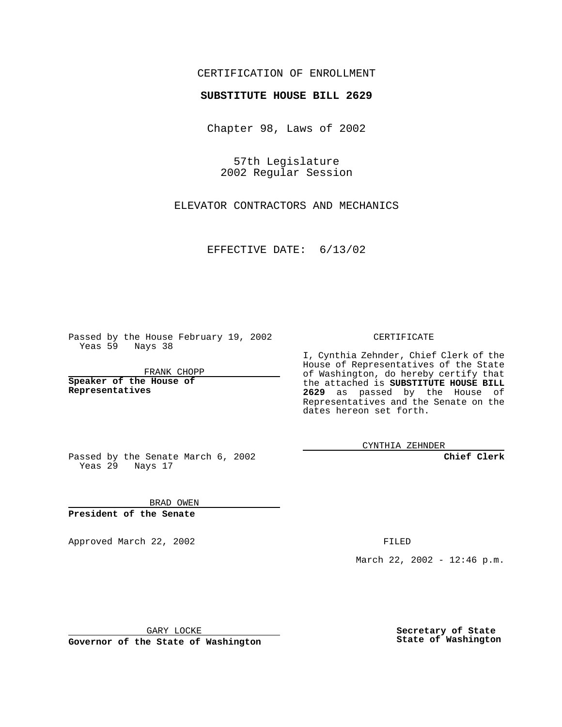## CERTIFICATION OF ENROLLMENT

## **SUBSTITUTE HOUSE BILL 2629**

Chapter 98, Laws of 2002

57th Legislature 2002 Regular Session

ELEVATOR CONTRACTORS AND MECHANICS

EFFECTIVE DATE: 6/13/02

Passed by the House February 19, 2002 Yeas 59 Nays 38

FRANK CHOPP

**Speaker of the House of Representatives**

CERTIFICATE

I, Cynthia Zehnder, Chief Clerk of the House of Representatives of the State of Washington, do hereby certify that the attached is **SUBSTITUTE HOUSE BILL 2629** as passed by the House of Representatives and the Senate on the dates hereon set forth.

CYNTHIA ZEHNDER

**Chief Clerk**

Passed by the Senate March 6, 2002 Yeas 29 Nays 17

BRAD OWEN **President of the Senate**

Approved March 22, 2002 **FILED** 

March 22, 2002 - 12:46 p.m.

GARY LOCKE

**Governor of the State of Washington**

**Secretary of State State of Washington**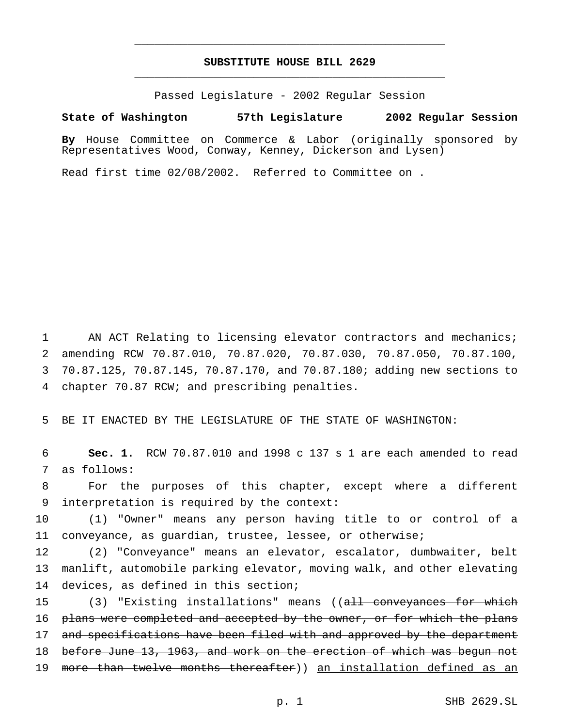## **SUBSTITUTE HOUSE BILL 2629** \_\_\_\_\_\_\_\_\_\_\_\_\_\_\_\_\_\_\_\_\_\_\_\_\_\_\_\_\_\_\_\_\_\_\_\_\_\_\_\_\_\_\_\_\_\_\_

\_\_\_\_\_\_\_\_\_\_\_\_\_\_\_\_\_\_\_\_\_\_\_\_\_\_\_\_\_\_\_\_\_\_\_\_\_\_\_\_\_\_\_\_\_\_\_

Passed Legislature - 2002 Regular Session

**State of Washington 57th Legislature 2002 Regular Session**

**By** House Committee on Commerce & Labor (originally sponsored by Representatives Wood, Conway, Kenney, Dickerson and Lysen)

Read first time 02/08/2002. Referred to Committee on .

 AN ACT Relating to licensing elevator contractors and mechanics; amending RCW 70.87.010, 70.87.020, 70.87.030, 70.87.050, 70.87.100, 70.87.125, 70.87.145, 70.87.170, and 70.87.180; adding new sections to chapter 70.87 RCW; and prescribing penalties.

5 BE IT ENACTED BY THE LEGISLATURE OF THE STATE OF WASHINGTON:

6 **Sec. 1.** RCW 70.87.010 and 1998 c 137 s 1 are each amended to read 7 as follows:

8 For the purposes of this chapter, except where a different 9 interpretation is required by the context:

10 (1) "Owner" means any person having title to or control of a 11 conveyance, as guardian, trustee, lessee, or otherwise;

12 (2) "Conveyance" means an elevator, escalator, dumbwaiter, belt 13 manlift, automobile parking elevator, moving walk, and other elevating 14 devices, as defined in this section;

15 (3) "Existing installations" means ((all conveyances for which 16 p<del>lans were completed and accepted by the owner, or for which the plans</del> 17 and specifications have been filed with and approved by the department 18 before June 13, 1963, and work on the erection of which was begun not 19 more than twelve months thereafter)) an installation defined as an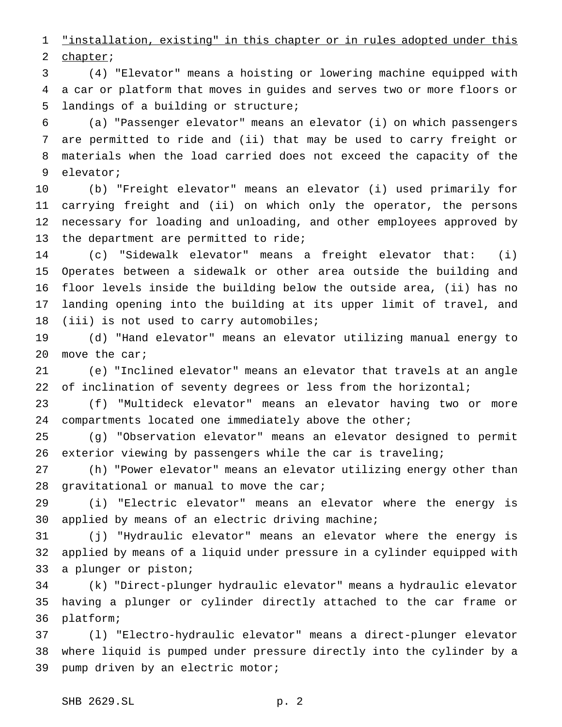"installation, existing" in this chapter or in rules adopted under this chapter;

 (4) "Elevator" means a hoisting or lowering machine equipped with a car or platform that moves in guides and serves two or more floors or landings of a building or structure;

 (a) "Passenger elevator" means an elevator (i) on which passengers are permitted to ride and (ii) that may be used to carry freight or materials when the load carried does not exceed the capacity of the elevator;

 (b) "Freight elevator" means an elevator (i) used primarily for carrying freight and (ii) on which only the operator, the persons necessary for loading and unloading, and other employees approved by 13 the department are permitted to ride;

 (c) "Sidewalk elevator" means a freight elevator that: (i) Operates between a sidewalk or other area outside the building and floor levels inside the building below the outside area, (ii) has no landing opening into the building at its upper limit of travel, and (iii) is not used to carry automobiles;

 (d) "Hand elevator" means an elevator utilizing manual energy to move the car;

 (e) "Inclined elevator" means an elevator that travels at an angle 22 of inclination of seventy degrees or less from the horizontal;

 (f) "Multideck elevator" means an elevator having two or more compartments located one immediately above the other;

 (g) "Observation elevator" means an elevator designed to permit exterior viewing by passengers while the car is traveling;

 (h) "Power elevator" means an elevator utilizing energy other than 28 gravitational or manual to move the car;

 (i) "Electric elevator" means an elevator where the energy is applied by means of an electric driving machine;

 (j) "Hydraulic elevator" means an elevator where the energy is applied by means of a liquid under pressure in a cylinder equipped with a plunger or piston;

 (k) "Direct-plunger hydraulic elevator" means a hydraulic elevator having a plunger or cylinder directly attached to the car frame or platform;

 (l) "Electro-hydraulic elevator" means a direct-plunger elevator where liquid is pumped under pressure directly into the cylinder by a pump driven by an electric motor;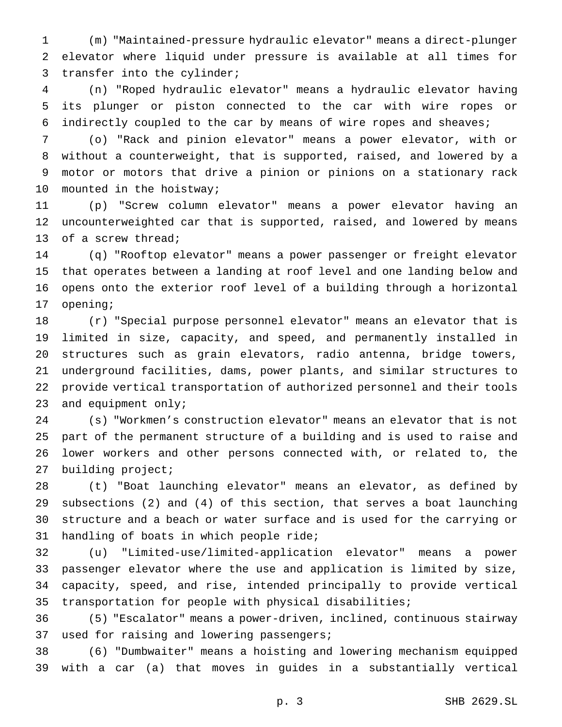(m) "Maintained-pressure hydraulic elevator" means a direct-plunger elevator where liquid under pressure is available at all times for transfer into the cylinder;

 (n) "Roped hydraulic elevator" means a hydraulic elevator having its plunger or piston connected to the car with wire ropes or indirectly coupled to the car by means of wire ropes and sheaves;

 (o) "Rack and pinion elevator" means a power elevator, with or without a counterweight, that is supported, raised, and lowered by a motor or motors that drive a pinion or pinions on a stationary rack mounted in the hoistway;

 (p) "Screw column elevator" means a power elevator having an uncounterweighted car that is supported, raised, and lowered by means of a screw thread;

 (q) "Rooftop elevator" means a power passenger or freight elevator that operates between a landing at roof level and one landing below and opens onto the exterior roof level of a building through a horizontal opening;

 (r) "Special purpose personnel elevator" means an elevator that is limited in size, capacity, and speed, and permanently installed in structures such as grain elevators, radio antenna, bridge towers, underground facilities, dams, power plants, and similar structures to provide vertical transportation of authorized personnel and their tools and equipment only;

 (s) "Workmen's construction elevator" means an elevator that is not part of the permanent structure of a building and is used to raise and lower workers and other persons connected with, or related to, the building project;

 (t) "Boat launching elevator" means an elevator, as defined by subsections (2) and (4) of this section, that serves a boat launching structure and a beach or water surface and is used for the carrying or handling of boats in which people ride;

 (u) "Limited-use/limited-application elevator" means a power passenger elevator where the use and application is limited by size, capacity, speed, and rise, intended principally to provide vertical transportation for people with physical disabilities;

 (5) "Escalator" means a power-driven, inclined, continuous stairway used for raising and lowering passengers;

 (6) "Dumbwaiter" means a hoisting and lowering mechanism equipped with a car (a) that moves in guides in a substantially vertical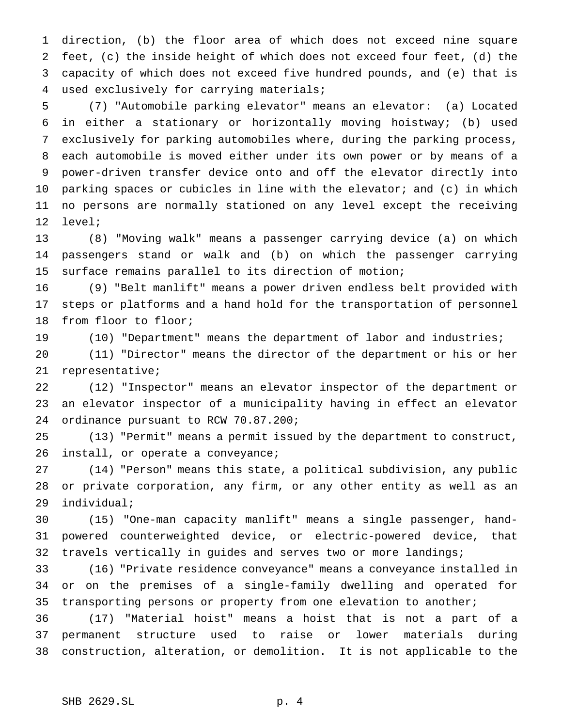direction, (b) the floor area of which does not exceed nine square feet, (c) the inside height of which does not exceed four feet, (d) the capacity of which does not exceed five hundred pounds, and (e) that is used exclusively for carrying materials;

 (7) "Automobile parking elevator" means an elevator: (a) Located in either a stationary or horizontally moving hoistway; (b) used exclusively for parking automobiles where, during the parking process, each automobile is moved either under its own power or by means of a power-driven transfer device onto and off the elevator directly into parking spaces or cubicles in line with the elevator; and (c) in which no persons are normally stationed on any level except the receiving level;

 (8) "Moving walk" means a passenger carrying device (a) on which passengers stand or walk and (b) on which the passenger carrying surface remains parallel to its direction of motion;

 (9) "Belt manlift" means a power driven endless belt provided with steps or platforms and a hand hold for the transportation of personnel from floor to floor;

(10) "Department" means the department of labor and industries;

 (11) "Director" means the director of the department or his or her representative;

 (12) "Inspector" means an elevator inspector of the department or an elevator inspector of a municipality having in effect an elevator ordinance pursuant to RCW 70.87.200;

 (13) "Permit" means a permit issued by the department to construct, 26 install, or operate a conveyance;

 (14) "Person" means this state, a political subdivision, any public or private corporation, any firm, or any other entity as well as an individual;

 (15) "One-man capacity manlift" means a single passenger, hand- powered counterweighted device, or electric-powered device, that travels vertically in guides and serves two or more landings;

 (16) "Private residence conveyance" means a conveyance installed in or on the premises of a single-family dwelling and operated for transporting persons or property from one elevation to another;

 (17) "Material hoist" means a hoist that is not a part of a permanent structure used to raise or lower materials during construction, alteration, or demolition. It is not applicable to the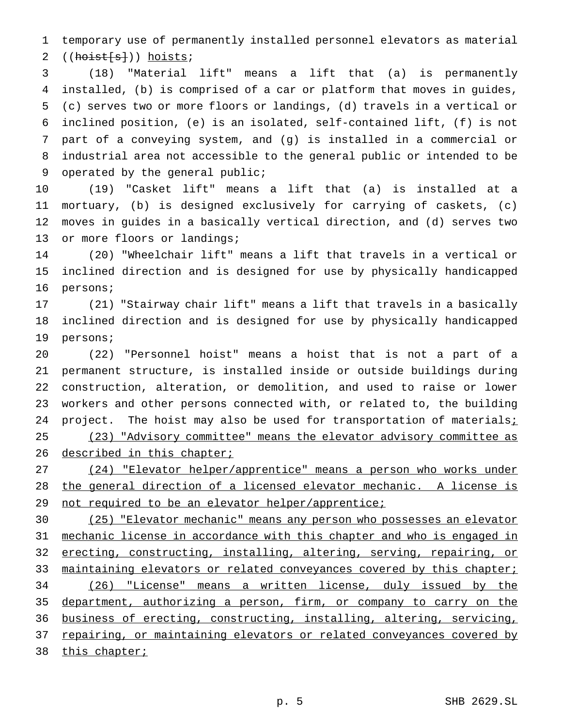temporary use of permanently installed personnel elevators as material 2  $((hoist[s]))$  hoists;

 (18) "Material lift" means a lift that (a) is permanently installed, (b) is comprised of a car or platform that moves in guides, (c) serves two or more floors or landings, (d) travels in a vertical or inclined position, (e) is an isolated, self-contained lift, (f) is not part of a conveying system, and (g) is installed in a commercial or industrial area not accessible to the general public or intended to be operated by the general public;

 (19) "Casket lift" means a lift that (a) is installed at a mortuary, (b) is designed exclusively for carrying of caskets, (c) moves in guides in a basically vertical direction, and (d) serves two 13 or more floors or landings;

 (20) "Wheelchair lift" means a lift that travels in a vertical or inclined direction and is designed for use by physically handicapped persons;

 (21) "Stairway chair lift" means a lift that travels in a basically inclined direction and is designed for use by physically handicapped persons;

 (22) "Personnel hoist" means a hoist that is not a part of a permanent structure, is installed inside or outside buildings during construction, alteration, or demolition, and used to raise or lower workers and other persons connected with, or related to, the building 24 project. The hoist may also be used for transportation of materials $i$  (23) "Advisory committee" means the elevator advisory committee as 26 described in this chapter;

 (24) "Elevator helper/apprentice" means a person who works under the general direction of a licensed elevator mechanic. A license is 29 not required to be an elevator helper/apprentice;

 (25) "Elevator mechanic" means any person who possesses an elevator mechanic license in accordance with this chapter and who is engaged in erecting, constructing, installing, altering, serving, repairing, or 33 maintaining elevators or related conveyances covered by this chapter; (26) "License" means a written license, duly issued by the department, authorizing a person, firm, or company to carry on the business of erecting, constructing, installing, altering, servicing, 37 repairing, or maintaining elevators or related conveyances covered by 38 this chapter;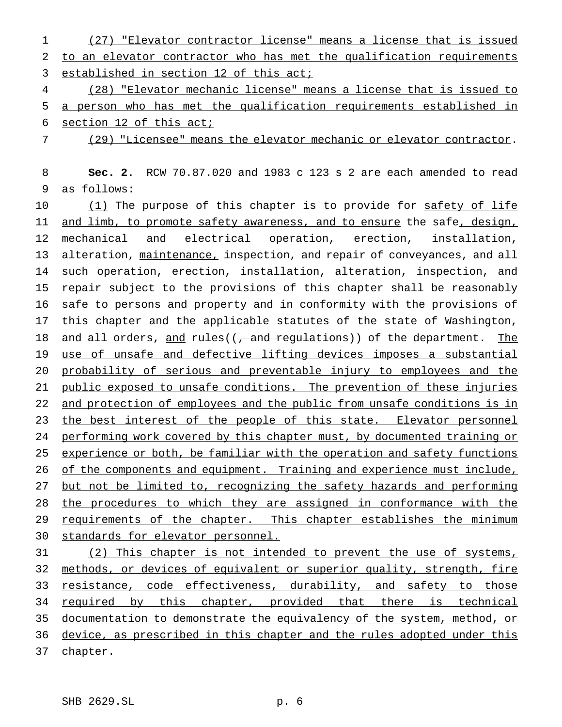1 (27) "Elevator contractor license" means a license that is issued 2 to an elevator contractor who has met the qualification requirements 3 established in section 12 of this act;

4 (28) "Elevator mechanic license" means a license that is issued to 5 a person who has met the qualification requirements established in 6 section 12 of this act;

7 (29) "Licensee" means the elevator mechanic or elevator contractor.

8 **Sec. 2.** RCW 70.87.020 and 1983 c 123 s 2 are each amended to read 9 as follows:

10 (1) The purpose of this chapter is to provide for safety of life 11 and limb, to promote safety awareness, and to ensure the safe, design, 12 mechanical and electrical operation, erection, installation, 13 alteration, maintenance, inspection, and repair of conveyances, and all 14 such operation, erection, installation, alteration, inspection, and 15 repair subject to the provisions of this chapter shall be reasonably 16 safe to persons and property and in conformity with the provisions of 17 this chapter and the applicable statutes of the state of Washington, 18 and all orders, and rules((, and regulations)) of the department. The 19 use of unsafe and defective lifting devices imposes a substantial 20 probability of serious and preventable injury to employees and the 21 public exposed to unsafe conditions. The prevention of these injuries 22 and protection of employees and the public from unsafe conditions is in 23 the best interest of the people of this state. Elevator personnel 24 performing work covered by this chapter must, by documented training or 25 experience or both, be familiar with the operation and safety functions 26 of the components and equipment. Training and experience must include, 27 but not be limited to, recognizing the safety hazards and performing 28 the procedures to which they are assigned in conformance with the 29 requirements of the chapter. This chapter establishes the minimum 30 standards for elevator personnel.

31 (2) This chapter is not intended to prevent the use of systems, 32 methods, or devices of equivalent or superior quality, strength, fire 33 resistance, code effectiveness, durability, and safety to those 34 required by this chapter, provided that there is technical 35 documentation to demonstrate the equivalency of the system, method, or 36 device, as prescribed in this chapter and the rules adopted under this 37 chapter.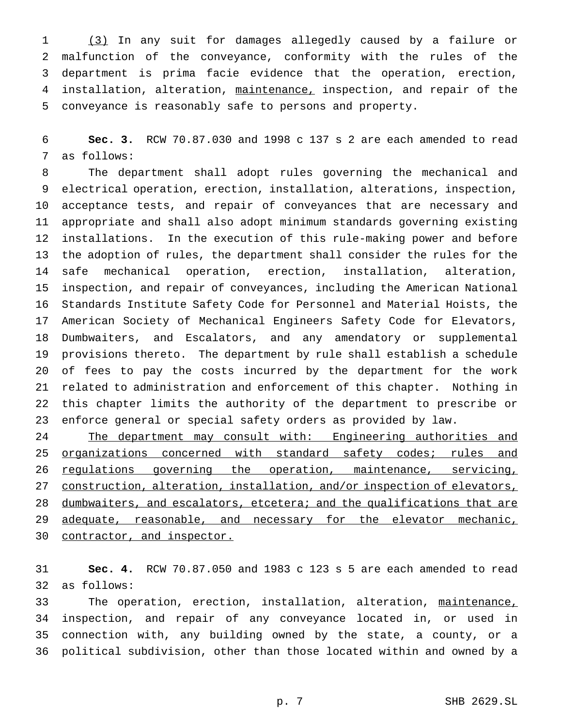(3) In any suit for damages allegedly caused by a failure or malfunction of the conveyance, conformity with the rules of the department is prima facie evidence that the operation, erection, installation, alteration, maintenance, inspection, and repair of the conveyance is reasonably safe to persons and property.

 **Sec. 3.** RCW 70.87.030 and 1998 c 137 s 2 are each amended to read as follows:

 The department shall adopt rules governing the mechanical and electrical operation, erection, installation, alterations, inspection, acceptance tests, and repair of conveyances that are necessary and appropriate and shall also adopt minimum standards governing existing installations. In the execution of this rule-making power and before the adoption of rules, the department shall consider the rules for the safe mechanical operation, erection, installation, alteration, inspection, and repair of conveyances, including the American National Standards Institute Safety Code for Personnel and Material Hoists, the American Society of Mechanical Engineers Safety Code for Elevators, Dumbwaiters, and Escalators, and any amendatory or supplemental provisions thereto. The department by rule shall establish a schedule of fees to pay the costs incurred by the department for the work related to administration and enforcement of this chapter. Nothing in this chapter limits the authority of the department to prescribe or enforce general or special safety orders as provided by law.

24 The department may consult with: Engineering authorities and 25 organizations concerned with standard safety codes; rules and regulations governing the operation, maintenance, servicing, 27 construction, alteration, installation, and/or inspection of elevators, 28 dumbwaiters, and escalators, etcetera; and the qualifications that are 29 adequate, reasonable, and necessary for the elevator mechanic, 30 contractor, and inspector.

 **Sec. 4.** RCW 70.87.050 and 1983 c 123 s 5 are each amended to read as follows:

 The operation, erection, installation, alteration, maintenance, inspection, and repair of any conveyance located in, or used in connection with, any building owned by the state, a county, or a political subdivision, other than those located within and owned by a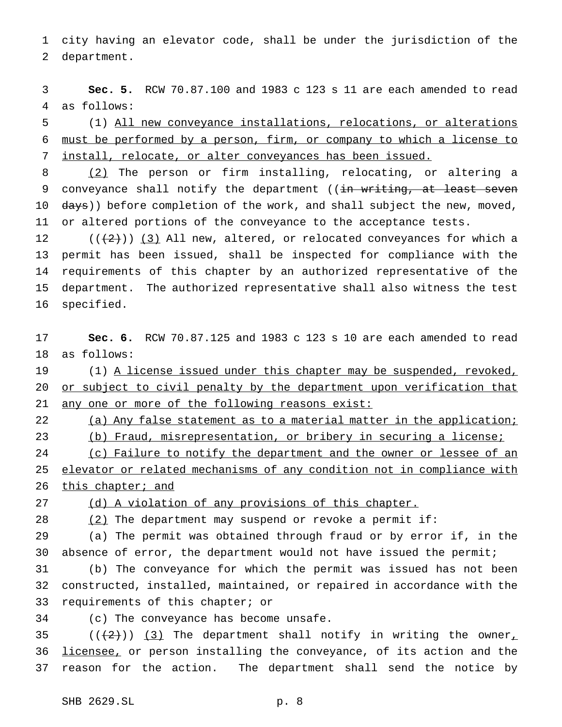city having an elevator code, shall be under the jurisdiction of the department.

 **Sec. 5.** RCW 70.87.100 and 1983 c 123 s 11 are each amended to read as follows:

 (1) All new conveyance installations, relocations, or alterations must be performed by a person, firm, or company to which a license to install, relocate, or alter conveyances has been issued.

 (2) The person or firm installing, relocating, or altering a 9 conveyance shall notify the department ((in writing, at least seven 10 days)) before completion of the work, and shall subject the new, moved, or altered portions of the conveyance to the acceptance tests.

 $((+2))$  (3) All new, altered, or relocated conveyances for which a permit has been issued, shall be inspected for compliance with the requirements of this chapter by an authorized representative of the department. The authorized representative shall also witness the test specified.

 **Sec. 6.** RCW 70.87.125 and 1983 c 123 s 10 are each amended to read as follows:

19 (1) A license issued under this chapter may be suspended, revoked, 20 or subject to civil penalty by the department upon verification that any one or more of the following reasons exist:

22 (a) Any false statement as to a material matter in the application; (b) Fraud, misrepresentation, or bribery in securing a license;

24 (c) Failure to notify the department and the owner or lessee of an elevator or related mechanisms of any condition not in compliance with

26 this chapter; and

(d) A violation of any provisions of this chapter.

28  $(2)$  The department may suspend or revoke a permit if:

 (a) The permit was obtained through fraud or by error if, in the absence of error, the department would not have issued the permit;

 (b) The conveyance for which the permit was issued has not been constructed, installed, maintained, or repaired in accordance with the requirements of this chapter; or

(c) The conveyance has become unsafe.

35 ( $(\frac{1}{2})$ ) (3) The department shall notify in writing the owner, 36 licensee, or person installing the conveyance, of its action and the reason for the action. The department shall send the notice by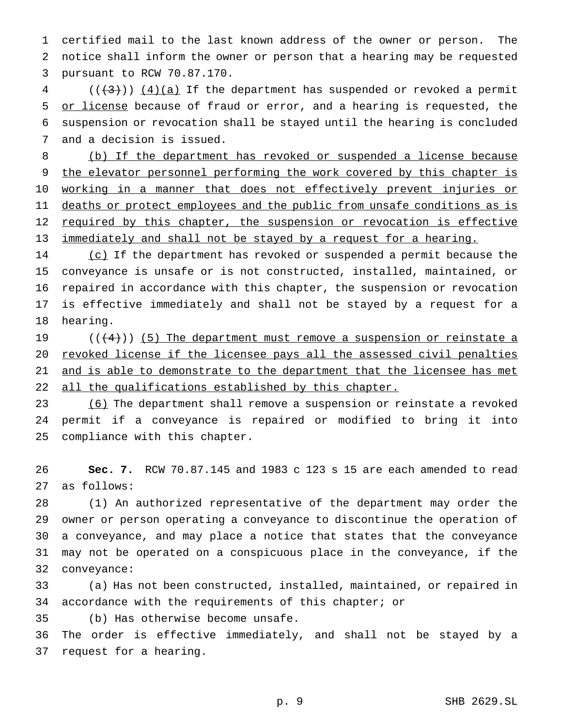certified mail to the last known address of the owner or person. The notice shall inform the owner or person that a hearing may be requested pursuant to RCW 70.87.170.

 (( $\left(\frac{4}{3}\right)$ ) ( $4$ )(a) If the department has suspended or revoked a permit 5 or license because of fraud or error, and a hearing is requested, the suspension or revocation shall be stayed until the hearing is concluded and a decision is issued.

 (b) If the department has revoked or suspended a license because 9 the elevator personnel performing the work covered by this chapter is 10 working in a manner that does not effectively prevent injuries or 11 deaths or protect employees and the public from unsafe conditions as is 12 required by this chapter, the suspension or revocation is effective immediately and shall not be stayed by a request for a hearing.

14 (c) If the department has revoked or suspended a permit because the conveyance is unsafe or is not constructed, installed, maintained, or repaired in accordance with this chapter, the suspension or revocation is effective immediately and shall not be stayed by a request for a hearing.

19  $((+4))$  (5) The department must remove a suspension or reinstate a revoked license if the licensee pays all the assessed civil penalties 21 and is able to demonstrate to the department that the licensee has met 22 all the qualifications established by this chapter.

23 (6) The department shall remove a suspension or reinstate a revoked permit if a conveyance is repaired or modified to bring it into compliance with this chapter.

 **Sec. 7.** RCW 70.87.145 and 1983 c 123 s 15 are each amended to read as follows:

 (1) An authorized representative of the department may order the owner or person operating a conveyance to discontinue the operation of a conveyance, and may place a notice that states that the conveyance may not be operated on a conspicuous place in the conveyance, if the conveyance:

 (a) Has not been constructed, installed, maintained, or repaired in accordance with the requirements of this chapter; or

(b) Has otherwise become unsafe.

 The order is effective immediately, and shall not be stayed by a request for a hearing.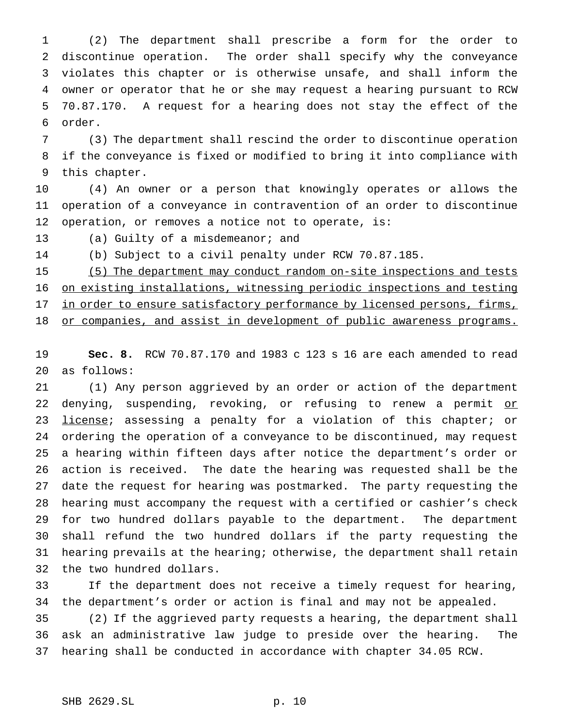(2) The department shall prescribe a form for the order to discontinue operation. The order shall specify why the conveyance violates this chapter or is otherwise unsafe, and shall inform the owner or operator that he or she may request a hearing pursuant to RCW 70.87.170. A request for a hearing does not stay the effect of the order.

 (3) The department shall rescind the order to discontinue operation if the conveyance is fixed or modified to bring it into compliance with this chapter.

 (4) An owner or a person that knowingly operates or allows the operation of a conveyance in contravention of an order to discontinue operation, or removes a notice not to operate, is:

13 (a) Guilty of a misdemeanor; and

(b) Subject to a civil penalty under RCW 70.87.185.

 (5) The department may conduct random on-site inspections and tests on existing installations, witnessing periodic inspections and testing 17 in order to ensure satisfactory performance by licensed persons, firms, 18 or companies, and assist in development of public awareness programs.

 **Sec. 8.** RCW 70.87.170 and 1983 c 123 s 16 are each amended to read as follows:

 (1) Any person aggrieved by an order or action of the department 22 denying, suspending, revoking, or refusing to renew a permit or 23 license; assessing a penalty for a violation of this chapter; or ordering the operation of a conveyance to be discontinued, may request a hearing within fifteen days after notice the department's order or action is received. The date the hearing was requested shall be the date the request for hearing was postmarked. The party requesting the hearing must accompany the request with a certified or cashier's check for two hundred dollars payable to the department. The department shall refund the two hundred dollars if the party requesting the hearing prevails at the hearing; otherwise, the department shall retain the two hundred dollars.

 If the department does not receive a timely request for hearing, the department's order or action is final and may not be appealed.

 (2) If the aggrieved party requests a hearing, the department shall ask an administrative law judge to preside over the hearing. The hearing shall be conducted in accordance with chapter 34.05 RCW.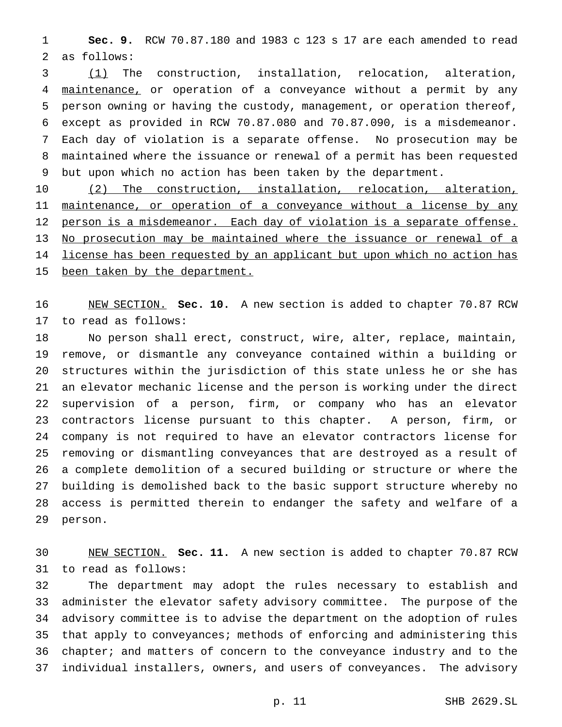**Sec. 9.** RCW 70.87.180 and 1983 c 123 s 17 are each amended to read as follows:

 (1) The construction, installation, relocation, alteration, maintenance, or operation of a conveyance without a permit by any person owning or having the custody, management, or operation thereof, except as provided in RCW 70.87.080 and 70.87.090, is a misdemeanor. Each day of violation is a separate offense. No prosecution may be maintained where the issuance or renewal of a permit has been requested but upon which no action has been taken by the department.

 (2) The construction, installation, relocation, alteration, 11 maintenance, or operation of a conveyance without a license by any person is a misdemeanor. Each day of violation is a separate offense. No prosecution may be maintained where the issuance or renewal of a 14 license has been requested by an applicant but upon which no action has 15 been taken by the department.

 NEW SECTION. **Sec. 10.** A new section is added to chapter 70.87 RCW to read as follows:

 No person shall erect, construct, wire, alter, replace, maintain, remove, or dismantle any conveyance contained within a building or structures within the jurisdiction of this state unless he or she has an elevator mechanic license and the person is working under the direct supervision of a person, firm, or company who has an elevator contractors license pursuant to this chapter. A person, firm, or company is not required to have an elevator contractors license for removing or dismantling conveyances that are destroyed as a result of a complete demolition of a secured building or structure or where the building is demolished back to the basic support structure whereby no access is permitted therein to endanger the safety and welfare of a person.

 NEW SECTION. **Sec. 11.** A new section is added to chapter 70.87 RCW to read as follows:

 The department may adopt the rules necessary to establish and administer the elevator safety advisory committee. The purpose of the advisory committee is to advise the department on the adoption of rules that apply to conveyances; methods of enforcing and administering this chapter; and matters of concern to the conveyance industry and to the individual installers, owners, and users of conveyances. The advisory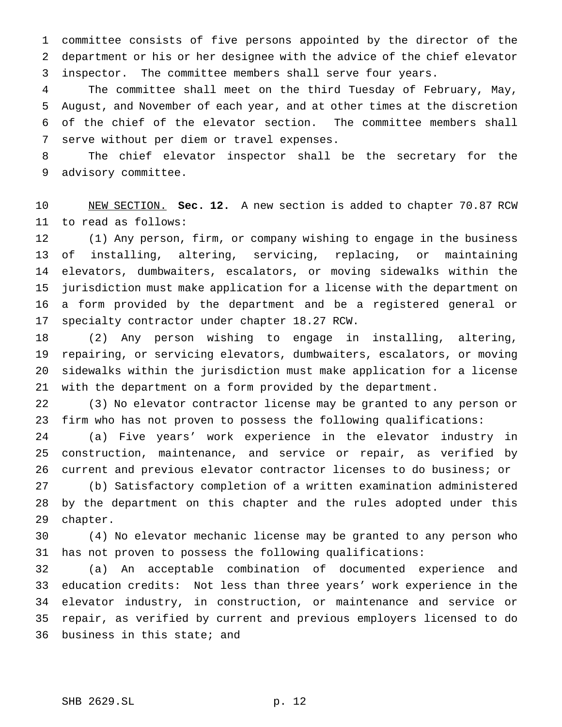committee consists of five persons appointed by the director of the department or his or her designee with the advice of the chief elevator inspector. The committee members shall serve four years.

 The committee shall meet on the third Tuesday of February, May, August, and November of each year, and at other times at the discretion of the chief of the elevator section. The committee members shall serve without per diem or travel expenses.

 The chief elevator inspector shall be the secretary for the advisory committee.

 NEW SECTION. **Sec. 12.** A new section is added to chapter 70.87 RCW to read as follows:

 (1) Any person, firm, or company wishing to engage in the business of installing, altering, servicing, replacing, or maintaining elevators, dumbwaiters, escalators, or moving sidewalks within the jurisdiction must make application for a license with the department on a form provided by the department and be a registered general or specialty contractor under chapter 18.27 RCW.

 (2) Any person wishing to engage in installing, altering, repairing, or servicing elevators, dumbwaiters, escalators, or moving sidewalks within the jurisdiction must make application for a license with the department on a form provided by the department.

 (3) No elevator contractor license may be granted to any person or firm who has not proven to possess the following qualifications:

 (a) Five years' work experience in the elevator industry in construction, maintenance, and service or repair, as verified by current and previous elevator contractor licenses to do business; or

 (b) Satisfactory completion of a written examination administered by the department on this chapter and the rules adopted under this chapter.

 (4) No elevator mechanic license may be granted to any person who has not proven to possess the following qualifications:

 (a) An acceptable combination of documented experience and education credits: Not less than three years' work experience in the elevator industry, in construction, or maintenance and service or repair, as verified by current and previous employers licensed to do business in this state; and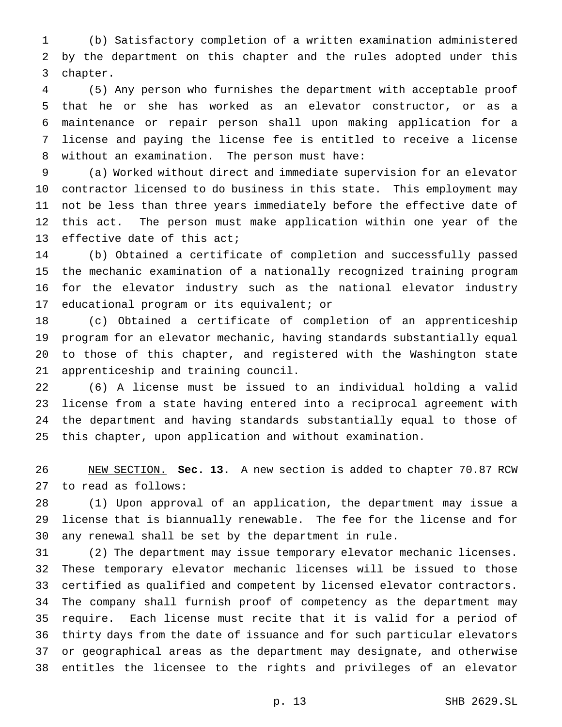(b) Satisfactory completion of a written examination administered by the department on this chapter and the rules adopted under this chapter.

 (5) Any person who furnishes the department with acceptable proof that he or she has worked as an elevator constructor, or as a maintenance or repair person shall upon making application for a license and paying the license fee is entitled to receive a license without an examination. The person must have:

 (a) Worked without direct and immediate supervision for an elevator contractor licensed to do business in this state. This employment may not be less than three years immediately before the effective date of this act. The person must make application within one year of the effective date of this act;

 (b) Obtained a certificate of completion and successfully passed the mechanic examination of a nationally recognized training program for the elevator industry such as the national elevator industry educational program or its equivalent; or

 (c) Obtained a certificate of completion of an apprenticeship program for an elevator mechanic, having standards substantially equal to those of this chapter, and registered with the Washington state apprenticeship and training council.

 (6) A license must be issued to an individual holding a valid license from a state having entered into a reciprocal agreement with the department and having standards substantially equal to those of this chapter, upon application and without examination.

 NEW SECTION. **Sec. 13.** A new section is added to chapter 70.87 RCW to read as follows:

 (1) Upon approval of an application, the department may issue a license that is biannually renewable. The fee for the license and for any renewal shall be set by the department in rule.

 (2) The department may issue temporary elevator mechanic licenses. These temporary elevator mechanic licenses will be issued to those certified as qualified and competent by licensed elevator contractors. The company shall furnish proof of competency as the department may require. Each license must recite that it is valid for a period of thirty days from the date of issuance and for such particular elevators or geographical areas as the department may designate, and otherwise entitles the licensee to the rights and privileges of an elevator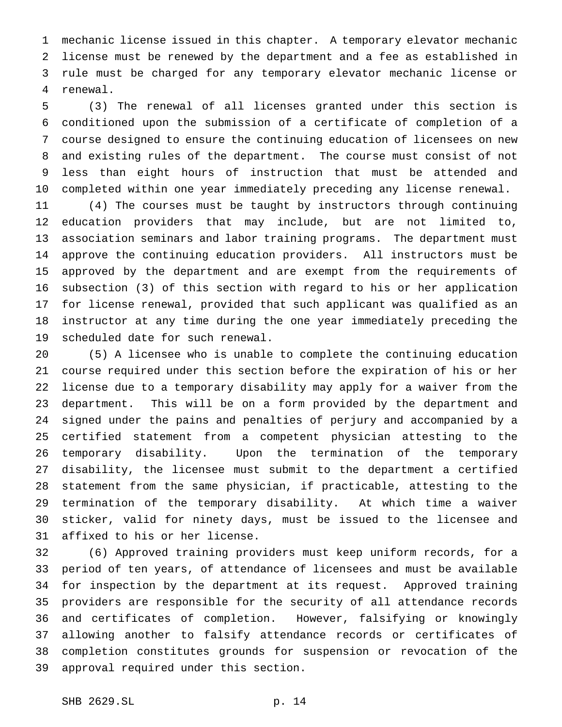mechanic license issued in this chapter. A temporary elevator mechanic license must be renewed by the department and a fee as established in rule must be charged for any temporary elevator mechanic license or renewal.

 (3) The renewal of all licenses granted under this section is conditioned upon the submission of a certificate of completion of a course designed to ensure the continuing education of licensees on new and existing rules of the department. The course must consist of not less than eight hours of instruction that must be attended and completed within one year immediately preceding any license renewal.

 (4) The courses must be taught by instructors through continuing education providers that may include, but are not limited to, association seminars and labor training programs. The department must approve the continuing education providers. All instructors must be approved by the department and are exempt from the requirements of subsection (3) of this section with regard to his or her application for license renewal, provided that such applicant was qualified as an instructor at any time during the one year immediately preceding the scheduled date for such renewal.

 (5) A licensee who is unable to complete the continuing education course required under this section before the expiration of his or her license due to a temporary disability may apply for a waiver from the department. This will be on a form provided by the department and signed under the pains and penalties of perjury and accompanied by a certified statement from a competent physician attesting to the temporary disability. Upon the termination of the temporary disability, the licensee must submit to the department a certified statement from the same physician, if practicable, attesting to the termination of the temporary disability. At which time a waiver sticker, valid for ninety days, must be issued to the licensee and affixed to his or her license.

 (6) Approved training providers must keep uniform records, for a period of ten years, of attendance of licensees and must be available for inspection by the department at its request. Approved training providers are responsible for the security of all attendance records and certificates of completion. However, falsifying or knowingly allowing another to falsify attendance records or certificates of completion constitutes grounds for suspension or revocation of the approval required under this section.